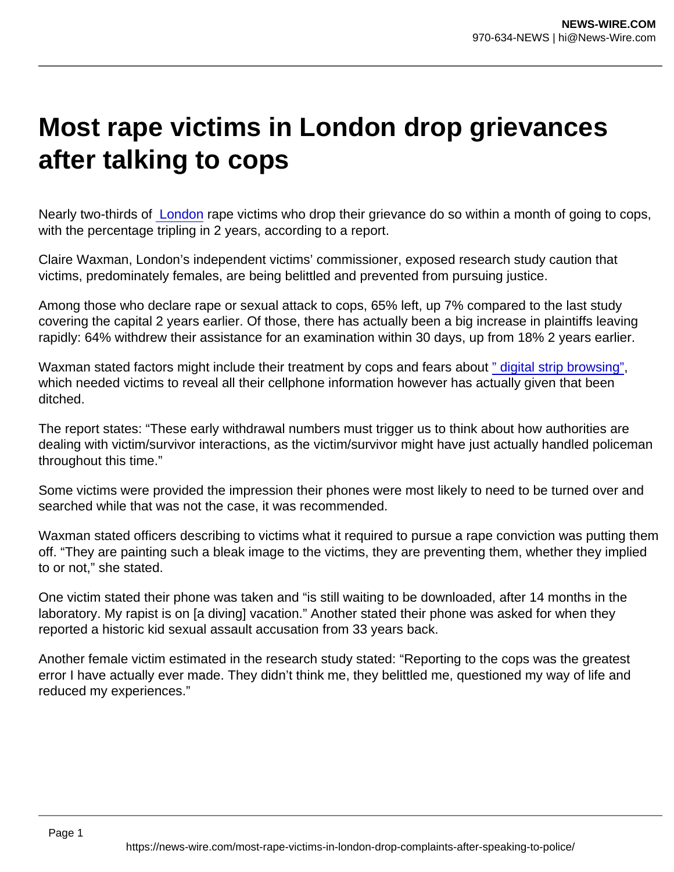## Most rape victims in London drop grievances after talking to cops

Nearly two-thirds of [London](https://www.theguardian.com/uk/london) rape victims who drop their grievance do so within a month of going to cops, with the percentage tripling in 2 years, according to a report.

Claire Waxman, London's independent victims' commissioner, exposed research study caution that victims, predominately females, are being belittled and prevented from pursuing justice.

Among those who declare rape or sexual attack to cops, 65% left, up 7% compared to the last study covering the capital 2 years earlier. Of those, there has actually been a big increase in plaintiffs leaving rapidly: 64% withdrew their assistance for an examination within 30 days, up from 18% 2 years earlier.

Waxman stated factors might include their treatment by cops and fears about [" digital strip browsing"](https://www.theguardian.com/society/2020/jul/16/police-and-cps-scrap-digital-data-extraction-forms-for-cases), which needed victims to reveal all their cellphone information however has actually given that been ditched.

The report states: "These early withdrawal numbers must trigger us to think about how authorities are dealing with victim/survivor interactions, as the victim/survivor might have just actually handled policeman throughout this time."

Some victims were provided the impression their phones were most likely to need to be turned over and searched while that was not the case, it was recommended.

Waxman stated officers describing to victims what it required to pursue a rape conviction was putting them off. "They are painting such a bleak image to the victims, they are preventing them, whether they implied to or not," she stated.

One victim stated their phone was taken and "is still waiting to be downloaded, after 14 months in the laboratory. My rapist is on [a diving] vacation." Another stated their phone was asked for when they reported a historic kid sexual assault accusation from 33 years back.

Another female victim estimated in the research study stated: "Reporting to the cops was the greatest error I have actually ever made. They didn't think me, they belittled me, questioned my way of life and reduced my experiences."